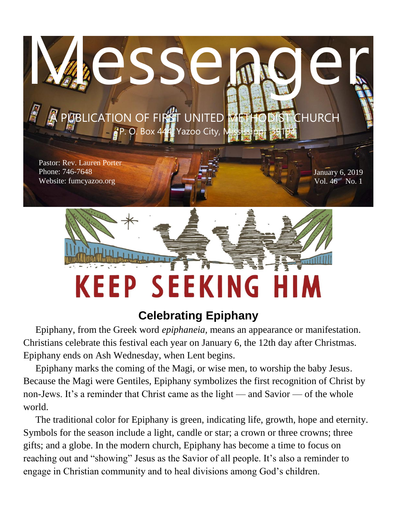

# **Celebrating Epiphany**

 Epiphany, from the Greek word *epiphaneia,* means an appearance or manifestation. Christians celebrate this festival each year on January 6, the 12th day after Christmas. Epiphany ends on Ash Wednesday, when Lent begins.

 Epiphany marks the coming of the Magi, or wise men, to worship the baby Jesus. Because the Magi were Gentiles, Epiphany symbolizes the first recognition of Christ by non-Jews. It's a reminder that Christ came as the light — and Savior — of the whole world.

 The traditional color for Epiphany is green, indicating life, growth, hope and eternity. Symbols for the season include a light, candle or star; a crown or three crowns; three gifts; and a globe. In the modern church, Epiphany has become a time to focus on reaching out and "showing" Jesus as the Savior of all people. It's also a reminder to engage in Christian community and to heal divisions among God's children.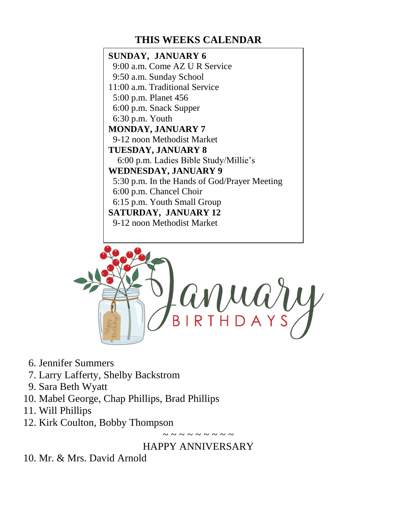## **THIS WEEKS CALENDAR**

### **SUNDAY, JANUARY 6** 9:00 a.m. Come AZ U R Service 9:50 a.m. Sunday School 11:00 a.m. Traditional Service 5:00 p.m. Planet 456 6:00 p.m. Snack Supper 6:30 p.m. Youth **MONDAY, JANUARY 7** 9-12 noon Methodist Market **TUESDAY, JANUARY 8** 6:00 p.m. Ladies Bible Study/Millie's **WEDNESDAY, JANUARY 9** 5:30 p.m. In the Hands of God/Prayer Meeting 6:00 p.m. Chancel Choir 6:15 p.m. Youth Small Group **SATURDAY, JANUARY 12** 9-12 noon Methodist Market



- 6. Jennifer Summers
- 7. Larry Lafferty, Shelby Backstrom
- 9. Sara Beth Wyatt
- 10. Mabel George, Chap Phillips, Brad Phillips
- 11. Will Phillips
- 12. Kirk Coulton, Bobby Thompson

~ ~ ~ ~ ~ ~ ~ ~ ~

## HAPPY ANNIVERSARY

10. Mr. & Mrs. David Arnold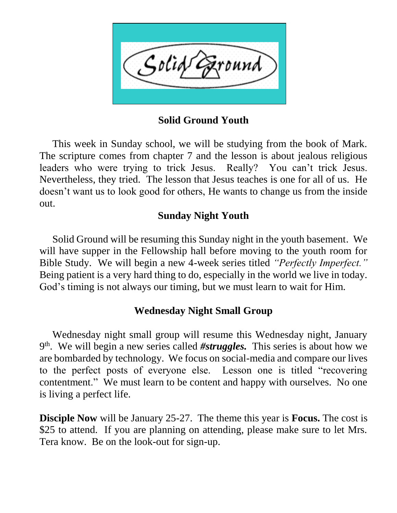

**Solid Ground Youth**

 This week in Sunday school, we will be studying from the book of Mark. The scripture comes from chapter 7 and the lesson is about jealous religious leaders who were trying to trick Jesus. Really? You can't trick Jesus. Nevertheless, they tried. The lesson that Jesus teaches is one for all of us. He doesn't want us to look good for others, He wants to change us from the inside out.

### **Sunday Night Youth**

 Solid Ground will be resuming this Sunday night in the youth basement. We will have supper in the Fellowship hall before moving to the youth room for Bible Study. We will begin a new 4-week series titled *"Perfectly Imperfect."*  Being patient is a very hard thing to do, especially in the world we live in today. God's timing is not always our timing, but we must learn to wait for Him.

## **Wednesday Night Small Group**

 Wednesday night small group will resume this Wednesday night, January 9<sup>th</sup>. We will begin a new series called #struggles. This series is about how we are bombarded by technology. We focus on social-media and compare our lives to the perfect posts of everyone else. Lesson one is titled "recovering contentment." We must learn to be content and happy with ourselves. No one is living a perfect life.

**Disciple Now** will be January 25-27. The theme this year is **Focus.** The cost is \$25 to attend. If you are planning on attending, please make sure to let Mrs. Tera know. Be on the look-out for sign-up.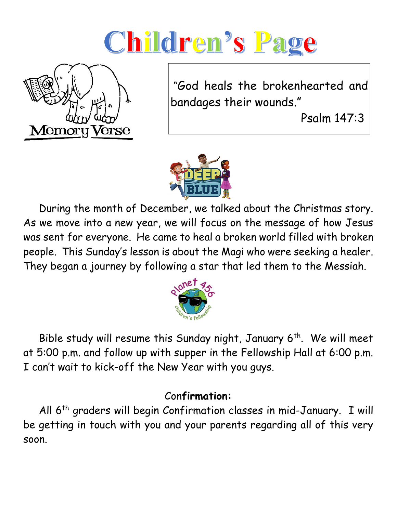# Children's Page



"God heals the brokenhearted and bandages their wounds."

Psalm 147:3



 During the month of December, we talked about the Christmas story. As we move into a new year, we will focus on the message of how Jesus was sent for everyone. He came to heal a broken world filled with broken people. This Sunday's lesson is about the Magi who were seeking a healer. They began a journey by following a star that led them to the Messiah.



Bible study will resume this Sunday night, January  $6<sup>th</sup>$ . We will meet at 5:00 p.m. and follow up with supper in the Fellowship Hall at 6:00 p.m. I can't wait to kick-off the New Year with you guys.

# Con**firmation:**

All 6<sup>th</sup> graders will begin Confirmation classes in mid-January. I will be getting in touch with you and your parents regarding all of this very soon.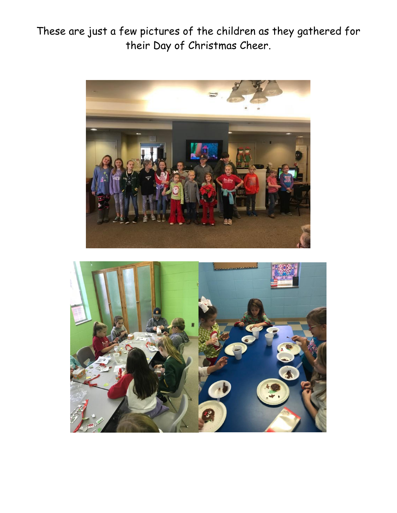These are just a few pictures of the children as they gathered for their Day of Christmas Cheer.